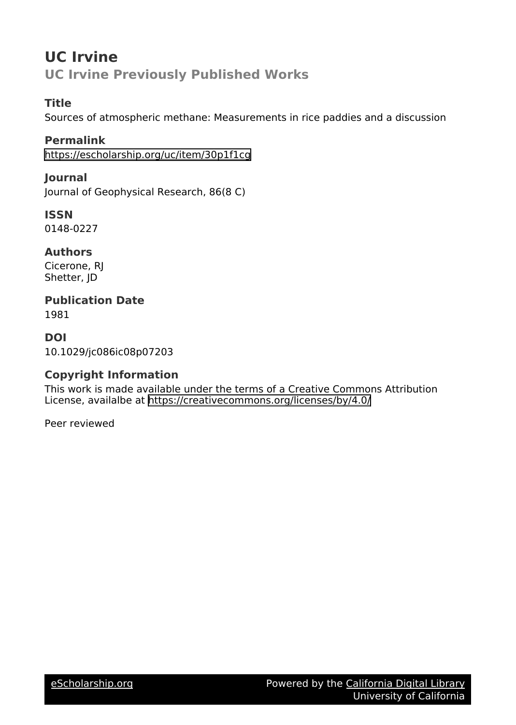# **UC Irvine UC Irvine Previously Published Works**

## **Title**

Sources of atmospheric methane: Measurements in rice paddies and a discussion

**Permalink** <https://escholarship.org/uc/item/30p1f1cg>

**Journal** Journal of Geophysical Research, 86(8 C)

**ISSN** 0148-0227

**Authors** Cicerone, RJ Shetter, JD

**Publication Date** 1981

**DOI** 10.1029/jc086ic08p07203

## **Copyright Information**

This work is made available under the terms of a Creative Commons Attribution License, availalbe at <https://creativecommons.org/licenses/by/4.0/>

Peer reviewed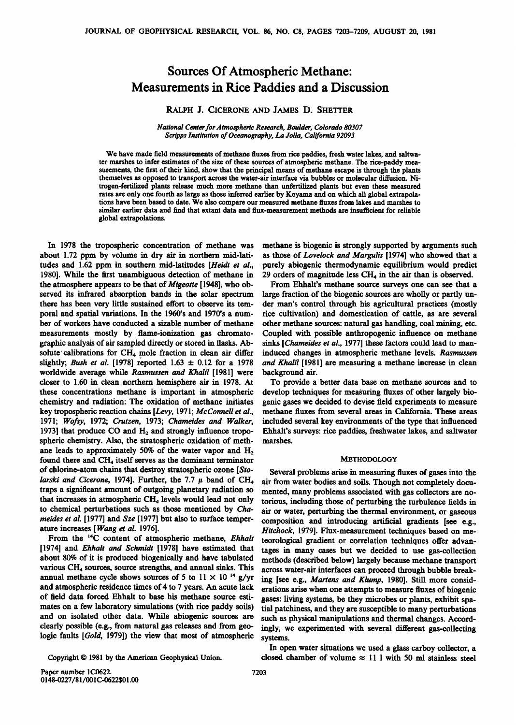## **Sources Of Atmospheric Methane: Measurements in Rice Paddies and a Discussion**

### **RALPH J. CICERONE AND JAMES D. SHETTER**

**National Center for Atmospheric Research, Boulder, Colorado 80307 Scripps Institution of Oceanography, La Jolla, California 92093** 

**We have made field measurements of methane fluxes from rice paddies, fresh water lakes, and saltwater marshes to infer estimates of the size of these sources of atmospheric methane. The rice-paddy measurements, the first of their kind, show that the principal means of methane escape is through the plants themselves as opposed to transport across the water-air interface via bubbles or molecular diffusion. Nitrogen-fertilized plants release much more methane than unfertilized plants but even these measured rates are only one fourth as large as those inferred earlier by Koyama and on which all global extrapolations have been based to date. We also compare our measured methane fluxes from lakes and marshes to similar earlier data and find that extant data and flux-measurement methods are insufficient for reliable global extrapolations.** 

**In 1978 the tropospheric concentration of methane was about 1.72 ppm by volume in dry air in northern mid-latitudes and 1.62 ppm in southern mid-latitudes [Heidt et al., 1980]. While the first unambiguous detection of methane in the atmosphere appears to be that of Migeotte [1948], who observed its infrared absorption bands in the solar spectrum there has been very little sustained effort to observe its temporal and spatial variations. In the 1960's and 1970's a number of workers have conducted a sizable number of methane measurements mostly by flame-ionization gas chromatographic analysis of air sampled directly or stored in flasks. Ab**solute calibrations for CH<sub>4</sub> mole fraction in clean air differ slightly; *Bush et al.* [1978] reported  $1.63 \pm 0.12$  for a 1978 **worldwide average while Rasmussen and Khalil [1981] were closer to 1.60 in clean northern hemisphere air in 1978. At these concentrations methane is important in atmospheric chemistry and radiation: The oxidation of methane initiates key tropospheric reaction chains [Levy, 1971; McConnell et al., 1971; Wofsy, 1972; Crutzen, 1973; Chameides and Walker,**  1973] that produce CO and H<sub>2</sub> and strongly influence tropo**spheric chemistry. Also, the stratospheric oxidation of meth**ane leads to approximately 50% of the water vapor and H<sub>2</sub> found there and CH<sub>4</sub> itself serves as the dominant terminator of chlorine-atom chains that destroy stratospheric ozone [Sto**of chlorine-atom chains that destroy stratospheric ozone [Sto- Several problems arise in measuring fluxes of gases into the** 

logic faults [Gold, 1979]) the view that most of atmospheric

**methane is biogenic is strongly supported by arguments such as those of Lovelock and Margulis [1974] who showed that a purely abiogenic thermodynamic equilibrium would predict**  29 orders of magnitude less CH<sub>4</sub> in the air than is observed.

**From Ehhalt's methane source surveys one can see that a large fraction of the biogenic sources are wholly or partly under man's control through his agricultural practices (mostly rice cultivation) and domestication of cattle, as are several other methane sources: natural gas handling, coal mining, etc. Coupled with possible anthropogenic influence on methane sinks [Chameides et al., 1977] these factors could lead to maninduced changes in atmospheric methane levels. Rasmussen and Khalil [1981] are measuring a methane increase in clean background air.** 

**To provide a better data base on methane sources and to develop techniques for measuring fluxes of other largely biogenic gases we decided to devise field experiments to measure methane fluxes from several areas in California. These areas included several key environments of the type that influenced Ehhalt's surveys: rice paddies, freshwater lakes, and saltwater marshes.** 

#### **METHODOLOGY**

larski and Cicerone, 1974]. Further, the 7.7  $\mu$  band of CH<sub>4</sub> air from water bodies and soils. Though not completely docu-<br>
traps a significant amount of outgoing planetary radiation so mented, many problems associated w traps a significant amount of outgoing planetary radiation so mented, many problems associated with gas collectors are no-<br>
that increases in atmospheric CH<sub>4</sub> levels would lead not only torious including those of perturbi that increases in atmospheric CH<sub>4</sub> levels would lead not only torious, including those of perturbing the turbulence fields in to chemical perturbations such as those mentioned by *Cha*-air or water, perturbing the thermal to chemical perturbations such as those mentioned by Cha- air or water, perturbing the thermal environment, or gaseous<br>meides et al. [1977] and Sze [1977] but also to surface temper- composition, and introducing artificial meides et al. [1977] and Sze [1977] but also to surface temper-<br>ature increases [Wang et al. 1976].<br>Hitchock. 1979]. Flux-measurement techniques based on meat ure increases [*Wang et al.* 1976].<br>From the <sup>14</sup>C content of atmospheric methane, *Ehhalt* teorological gradient or correlation techniques offer advan-From the <sup>1</sup>•C content of atmospheric methane, *Ehhalt* teorological gradient or correlation techniques offer advan-<br>[1974] and *Ehhalt and Schmidt* [1978] have estimated that tages in many cases but we decided to use gas-**[1974] and Ehhalt and Schmidt [1978] have estimated that tages in many cases but we decided to use gas-collection**  about 80% of it is produced biogenically and have tabulated methods (described below) largely because methane transport<br>various CH<sub>4</sub> sources, source strengths, and annual sinks. This secross water-air interfaces can proce various CH<sub>4</sub> sources, source strengths, and annual sinks. This across water-air interfaces can proceed through bubble break-<br>annual methane cycle shows sources of 5 to 11  $\times$  10<sup>-14</sup> g/yr ing [see e.g. *Martens and Klum* annual methane cycle shows sources of 5 to  $11 \times 10^{-4}$  g/yr ing [see e.g., *Martens and Klump*, 1980]. Still more considered and atmospheric residence times of 4 to 7 years. An acute lack erations arise when one attempts and atmospheric residence times of 4 to 7 years. An acute lack erations arise when one attempts to measure fluxes of biogenic<br>of field data forced Ehhalt to base his methane source esti- gases: living systems, be they micr of field data forced Ehhalt to base his methane source esti-<br>mates on a few laboratory simulations (with rice paddy soils) tial patchiness and they are susceptible to many perturbations **mates on a few laboratory simulations (with rice paddy soils) tial patchiness, and they are susceptible to many perturbations**  and on isolated other data. While abiogenic sources are such as physical manipulations and thermal changes. Accord-<br>
clearly possible (e.g., from natural gas releases and from geo-ingly we experimented with several differe ingly, we experimented with several different gas-collecting systems.

**In open water situations we used a glass carboy collector, a**  Copyright  $© 1981$  by the American Geophysical Union. closed chamber of volume  $\approx 11$  1 with 50 ml stainless steel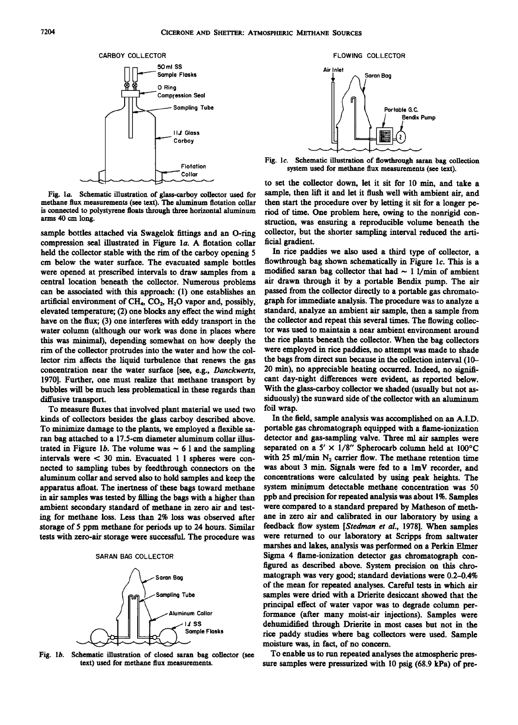

Fig. 1a. Schematic illustration of glass-carboy collector used for methane flux measurements (see text). The aluminum flotation collar methane flux measurements (see text). The aluminum flotation collar then start the procedure over by letting it sit for a longer pe-<br>is connected to polystyrene floats through three horizontal aluminum riod of time. One pr **is connected to polystyrene floats through three horizontal aluminum riod of time. One problem here, owing to the nonrigid con-**

sample bottles attached via Swagelok fittings and an O-ring collector, but the compression seal illustrated in Figure 1*a*. A flotation collar ficial gradient. compression seal illustrated in Figure 1a. A flotation collar **held the collector stable with the rim of the carboy opening 5 cm below the water surface. The evacuated sample bottles were opened at prescribed intervals to draw samples from a central location beneath the collector. Numerous problems can be associated with this approach: (1) one establishes an**  artificial environment of CH<sub>4</sub>, CO<sub>2</sub>, H<sub>2</sub>O vapor and, possibly, **elevated temperature; (2) one blocks any effect the wind might have on the flux; (3) one interferes with eddy transport in the water column (although our work was done in places where this was minimal), depending somewhat on how deeply the rim of the collector protrudes into the water and how the collector rim affects the liquid turbulence that renews the gas concentration near the water surface [see, e.g., Danckwerts, 1970]. Further, one must realize that methane transport by bubbles will be much less problematical in these regards than diffusive transport.** 

**To measure fluxes that involved plant material we used two kinds of collectors besides the glass carboy described above. To minimize damage to the plants, we employed a flexible saran bag attached to a 17.5-cm diameter aluminum collar illus**trated in Figure 1b. The volume was  $\sim$  6 1 and the sampling intervals were  $\lt$  30 min. Evacuated 1 I spheres were con- with 25 ml/min N<sub>2</sub> carrier flow. The methane retention time nected to sampling tubes by feedthrough connectors on the was about 3 min. Signals were fed to a 1mV **nected to sampling tubes by feedthrough connectors on the was about 3 min. Signals were fed to a lmV recorder, and aluminum collar and served also to hold samples and keep the concentrations were calculated by using peak heights. The**  apparatus afloat. The inertness of these bags toward methane in air samples was tested by filling the bags with a higher than ambient secondary standard of methane in zero air and test- were compared to a standard prepared by Matheson of meth-<br>ing for methane loss. Less than 2% loss was observed after ane in zero air and calibrated in our laborat ing for methane loss. Less than 2% loss was observed after **storage of 5 ppm methane for periods up to 24 hours. Similar tests with zero-air storage were successful. The procedure was** 

#### **SARAN BAG COLLECTOR**



**Fig. lb. Schematic illustration of closed saran bag collector (see text) used for methane flux measurements.** 



**Fig. lc. Schematic illustration of flowthrough saran bag collection system used for methane flux measurements (see text).** 

**to set the collector down, let it sit for 10 min, and take a**  struction, was ensuring a reproducible volume beneath the collector, but the shorter sampling interval reduced the arti-

**In rice paddies we also used a third type of collector, a**  flowthrough bag shown schematically in Figure 1c. This is a modified saran bag collector that had  $\sim$  1 l/min of ambient **air drawn through it by a portable Bendix pump. The air passed from the collector directly to a portable gas chromatograph for immediate analysis. The procedure was to analyze a standard, analyze an ambient air sample, then a sample from the collector and repeat this several times. The flowing collector was used to maintain a near ambient environment around the rice plants beneath the collector. When the bag collectors were employed in rice paddies, no attempt was made to shade the bags from direct sun because in the collection interval (10- 20 rain), no appreciable heating occurred. Indeed, no significant day-night differences were evident, as reported below. With the glass-carboy collector we shaded (usually but not assiduously) the sunward side of the collector with an aluminum foil wrap.** 

**In the field, sample analysis was accomplished on an A.I.D. portable gas chromatograph equipped with a flame-ionization detector and gas-sampling valve. Three ml air samples were**  separated on a  $5' \times 1/8''$  Spherocarb column held at  $100^{\circ}$ C with 25 ml/min N<sub>2</sub> carrier flow. The methane retention time ppb and precision for repeated analysis was about 1%. Samples were compared to a standard prepared by Matheson of meth**feedback flow system [Stedman et al., 1978]. When samples were returned to our laboratory at Scripps from saltwater marshes and lakes, analysis was performed on a Perkin Elmer Sigma 4 flame-ionization detector gas chromatograph configured as described above. System precision on this chromatograph was very good; standard deviations were 0.2-0.4% of the mean for repeated analyses. Careful tests in which air samples were dried with a Drierite desiccant showed that the principal effect of water vapor was to degrade column performance (after many moist-air injections). Samples were dehumidified through Drierite in most cases but not in the rice paddy studies where bag collectors were used. Sample moisture was, in fact, of no concern.** 

**To enable us to run repeated analyses the atmospheric pressure samples were pressurized with 10 psig (68.9 kPa) of pre-**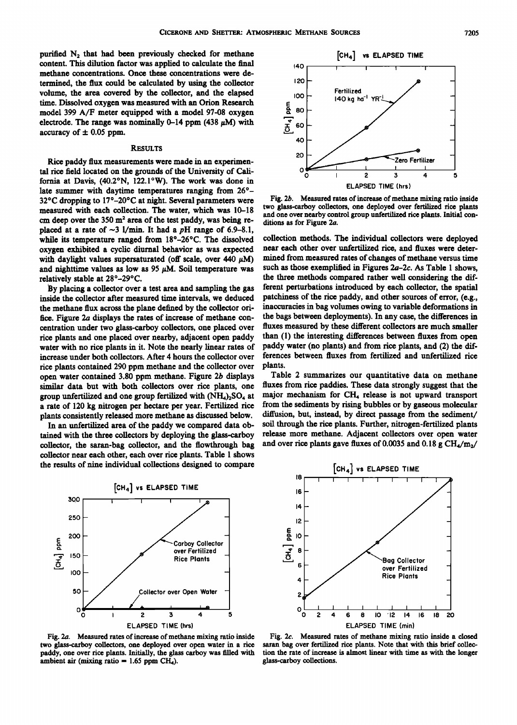purified N<sub>2</sub> that had been previously checked for methane **content. This dilution factor was applied to calculate the final methane concentrations. Once these concentrations were determined, the flux could be calculated by using the collector volume, the area covered by the collector, and the elapsed time. Dissolved oxygen was measured with an Orion Research model 399 A/F meter equipped with a model 97-08 oxygen**  electrode. The range was nominally  $0-14$  ppm (438  $\mu$ M) with accuracy of  $\pm$  0.05 ppm.

#### **RESULTS**

**Rice paddy flux measurements were made in an experimental rice field located on the grounds of the University of California at Davis, (40.2øN, 122.1øW). The work was done in**  late summer with daytime temperatures ranging from 26°-**32øC dropping to 17ø-20øC at night. Several parameters were measured with each collection. The water, which was 10-18**  cm deep over the 350 m<sup>2</sup> area of the test paddy, was being replaced at a rate of  $\sim$ 3 l/min. It had a pH range of 6.9–8.1, **while its temperature ranged from 18ø-26øC. The dissolved oxygen exhibited a cyclic diurnal behavior as was expected**  with daylight values supersaturated (off scale, over  $440 \mu M$ ) and nighttime values as low as 95  $\mu$ M. Soil temperature was **relatively stable at 28ø-29øC.** 

**By placing a collector over a test area and sampling the gas inside the collector after measured time intervals, we deduced the methane flux across the plane defined by the collector oririce. Figure 2a displays the rates of increase of methane concentration under two glass-carboy collectors, one placed over rice plants and one placed over nearby, adjacent open paddy than (1) the interesting differences between fluxes from open**  water with no rice plants in it. Note the nearly linear rates of paddy water (no plants) and from rice plants, and (2) the dif-<br>increase under both collectors. After 4 hours the collector over ferences between fluxes from increase under both collectors. After 4 hours the collector over ference<br>rice plants contained 290 ppm methane and the collector over plants. **rice plants contained 290 ppm methane and the collector over plants.**  a rate of 120 kg nitrogen per hectare per year. Fertilized rice plants consistently released more methane as discussed below.

tained with the three collectors by deploying the glass-carboy collector, the saran-bag collector, and the flowthrough bag **collector near each other, each over rice plants. Table 1 shows the results of nine individual collections designed to compare** 



two glass-carboy collectors, one deployed over open water in a rice paddy, one over rice plants. Initially, the glass carboy was filled with ambient air (mixing ratio = 1.65 ppm CH<sub>4</sub>).



Fig. 2b. Measured rates of increase of methane mixing ratio inside **two glass-carboy collectors, one deployed over fertilized rice plants**  and one over nearby control group unfertilized rice plants. Initial conditions as for Figure 2a.

collection methods. The individual collectors were deployed near each other over unfertilized rice, and fluxes were deter**mined from measured rates of changes of methane versus time such as those exemplified in Figures 2a-2c. As Table 1 shows, the three methods compared rather well considering the different perturbations introduced by each collector, the spatial patchiness of the rice paddy, and other sources of error, (e.g., inaccuracies in bag volumes owing to variable deformations in the bags between deployments). In any case, the differences in fluxes measured by these different collectors are much smaller** 

**open water contained 3.80 ppm methane. Figure 2b displays Table 2 summarizes our quantitative data on methane**  similar data but with both collectors over rice plants, one fluxes from rice paddies. These data strongly suggest that the<br>group unfertilized and one group fertilized with (NH<sub>4</sub>), SO<sub>4</sub> at major mechanism for CH<sub>4</sub> releas group unfertilized and one group fertilized with (NH<sub>4</sub>)<sub>2</sub>SO<sub>4</sub> at major mechanism for CH<sub>4</sub> release is not upward transport<br>a rate of 120 kg nitrogen per hectare per year. Fertilized rice from the sediments by rising bub diffusion, but, instead, by direct passage from the sediment/ soil through the rice plants. Further, nitrogen-fertilized plants In an unfertilized area of the paddy we compared data ob- soil through the rice plants. Further, nitrogen-fertilized plants ined with the three collectors by deploying the glass-carboy release more methane. Adjacent collec and over rice plants gave fluxes of 0.0035 and 0.18 g CH<sub>4</sub>/m<sub>2</sub>/



**Fig. 2a. Measured rates of increase of methane mixing ratio inside Fig. 2c. Measured rates of methane mixing ratio inside a closed**  tion the rate of increase is almost linear with time as with the longer glass-carboy collections.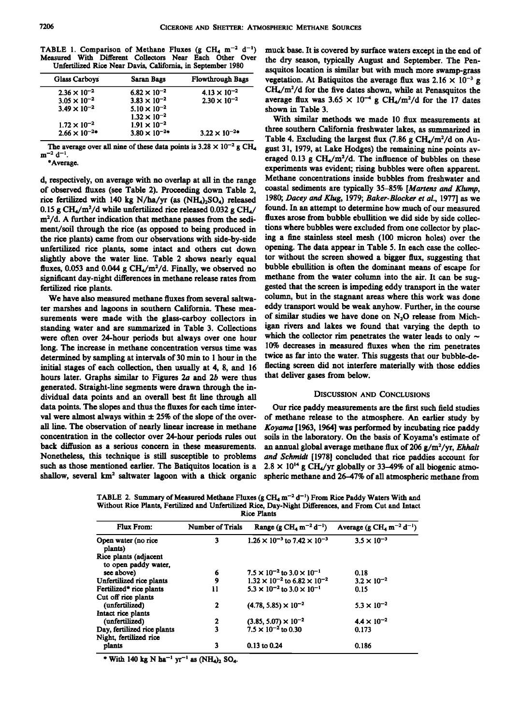|                                                             |  |  | TABLE 1. Comparison of Methane Fluxes (g CH <sub>4</sub> m <sup>-2</sup> d <sup>-1</sup> ) |  |  |  |  |
|-------------------------------------------------------------|--|--|--------------------------------------------------------------------------------------------|--|--|--|--|
|                                                             |  |  | Measured With Different Collectors Near Each Other Over                                    |  |  |  |  |
| Unfertilized Rice Near Davis, California, in September 1980 |  |  |                                                                                            |  |  |  |  |

| <b>Glass Carboys</b>  | <b>Saran Bags</b>       | <b>Flowthrough Bags</b> |
|-----------------------|-------------------------|-------------------------|
| $2.36 \times 10^{-2}$ | $6.82 \times 10^{-2}$   | $4.13 \times 10^{-2}$   |
| $3.05 \times 10^{-2}$ | $3.83 \times 10^{-2}$   | $2.30 \times 10^{-2}$   |
| $3.49 \times 10^{-2}$ | $5.10 \times 10^{-2}$   |                         |
|                       | $1.32 \times 10^{-2}$   |                         |
| $1.72 \times 10^{-2}$ | $1.91 \times 10^{-2}$   |                         |
| $2.66 \times 10^{-2}$ | $3.80 \times 10^{-2}$ * | $3.22 \times 10^{-2}$   |
|                       |                         |                         |

The average over all nine of these data points is  $3.28 \times 10^{-2}$  g CH<sub>4</sub>  $m^{-2}$  d<sup>-1</sup>.

**\*Average.** 

**d, respectively, on average with no overlap at all in the range of observed fluxes (see Table 2). Proceeding down Table 2,**  rice fertilized with 140 kg N/ha/yr (as (NH<sub>4</sub>)<sub>2</sub>SO<sub>4</sub>) released 0.15 g CH<sub>4</sub>/m<sup>2</sup>/d while unfertilized rice released 0.032 g CH<sub>4</sub>/ found. In an attempt to determine how much of our measured  $m^2/d$ . A further indication that methane passes from the sedi- fluxes arose from bubble ebull m<sup>2</sup>/d. A further indication that methane passes from the sedi-<br>ment/soil through the rice (as opposed to being produced in tions where bubbles were excluded from one collector by placment/soil through the rice (as opposed to being produced in tions where bubbles were excluded from one collector by plac-<br>the rice plants) came from our observations with side-by-side ing a fine stainless steel mesh (100 m the rice plants) came from our observations with side-by-side ing a fine stainless steel mesh (100 micron holes) over the <br>unfertilized rice plants, some intact and others cut down, opening. The data appear in Table 5. In unfertilized rice plants, some intact and others cut down opening. The data appear in Table 5. In each case the collec-<br>slightly above the water line. Table 2 shows nearly equal tor without the screen showed a bigger flux, slightly above the water line. Table 2 shows nearly equal tor without the screen showed a bigger flux, suggesting that  $flux$   $\sim$   $\frac{3}{2}$   $\frac{1}{2}$   $\frac{1}{2}$   $\frac{1}{2}$   $\frac{1}{2}$   $\frac{1}{2}$   $\frac{1}{2}$   $\frac{1}{2}$   $\frac{1}{2}$   $\frac{$ fluxes, 0.053 and 0.044 g CH<sub>4</sub>/m<sup>2</sup>/d. Finally, we observed no bubble ebullition is often the dominant means of escape for<br>significant day-night differences in methane release rates from methane from the water column into significant day-night differences in methane release rates from fertilized rice plants.

ter marshes and lagoons in southern California. These mea-<br>surements were made with the glass-carboy collectors in of similar studies we have done on  $N_2O$  release from Michsurements were made with the glass-carboy collectors in <sup>of similar studies we have done on  $N_2O$  release from Mich-<br>standing water and are summarized in Table 3. Collections igan rivers and lakes we found that varying t</sup> standing water and are summarized in Table 3. Collections igan rivers and lakes we found that varying the depth to  $w$ ere often over 24-hour periods but always over one hour which the collector rim penetrates the water le were often over 24-hour periods but always over one hour which the collector rim penetrates the water leads to only  $\sim$  long. The increase in methane concentration versus time was  $10\%$  decreases in measured fluxes when **long. The increase in methane concentration versus time was 10% decreases in measured fluxes when the rim penetrates**  determined by sampling at intervals of 30 min to 1 hour in the twice as far into the water. This suggests that our bubble-de-<br>initial stages of each collection, then usually at 4, 8, and 16. flecting screen did not interfe initial stages of each collection, then usually at 4, 8, and 16 fiecting screen did not interferently hours later. hours later. Graphs similar to Figures 2a and 2b were thus **generated. Straight-line segments were drawn through the in**dividual data points and an overall best fit line through all DISCUSSION AND CONCLUSIONS data points. The slopes and thus the fluxes for each time inter-<br>Qur rice paddy measurements are the first suc data points. The slopes and thus the fluxes for each time inter-<br>val were almost always within  $\pm 25\%$  of the slope of the over- of methane release to the atmosphere. An earlier study by val were almost always within  $\pm 25\%$  of the slope of the over- of methane release to the atmosphere. An earlier study by all line. The observation of nearly linear increase in methane *Kovama* [1963, 1964] was performed all line. The observation of nearly linear increase in methane *Koyama* [1963, 1964] was performed by incubating rice paddy concentration in the collector over 24-hour periods rules out soils in the laboratory. On the basi concentration in the collector over 24-hour periods rules out soils in the laboratory. On the basis of Koyama's estimate of back diffusion as a serious concern in these measurements. an annual global average methane flux o back diffusion as a serious concern in these measurements. an annual global average methane flux of 206 g/m<sup>2</sup>/yr, *Ehhalt* Nonetheless, this technique is still susceptible to problems *and Schmidt* [1978] concluded that r Nonetheless, this technique is still susceptible to problems and Schmidt [1978] concluded that rice paddies account for such as those mentioned earlier. The Batiquitos location is a  $2.8 \times 10^{14}$  g CH<sub>4</sub>/yr globally or 3 such as those mentioned earlier. The Batiquitos location is a  $2.8 \times 10^{14}$  g CH<sub>4</sub>/yr globally or 33–49% of all biogenic atmo-<br>shallow, several km<sup>2</sup> saltwater lagoon with a thick organic spheric methane and 26–47% of a

**muck base. It is covered by surface waters except in the end of the dry season, typically August and September. The Penasquitos location is similar but with much more swamp-grass vegetation.** At Batiquitos the average flux was  $2.16 \times 10^{-3}$  g **CH4/m2/d for the five dates shown, while at Penasquitos the**  average flux was  $3.65 \times 10^{-4}$  g CH<sub>4</sub>/m<sup>2</sup>/d for the 17 dates **shown in Table 3.** 

**With similar methods we made 10 flux measurements at three southern California freshwater lakes, as summarized in**  Table 4. Excluding the largest flux (7.86 g CH<sub>4</sub>/m<sup>2</sup>/d on Au**gust 31, 1979, at Lake Hodges) the remaining nine points av**eraged 0.13 g CH<sub>4</sub>/m<sup>2</sup>/d. The influence of bubbles on these **experiments was evident; rising bubbles were often apparent. Methane concentrations inside bubbles from freshwater and coastal sediments are typically 35-85% [Martens and Klump, 1980; Dacey and Klug, 1979; Baker-Blocker et al., 1977] as we**  gested that the screen is impeding eddy transport in the water column, but in the stagnant areas where this work was done We have also measured methane fluxes from several saltwa-<br>c marshes and lagoons in southern California, These mea- eddy transport would be weak anyhow. Further, in the course

spheric methane and 26-47% of all atmospheric methane from

TABLE 2. Summary of Measured Methane Fluxes (g CH<sub>4</sub> m<sup>-2</sup> d<sup>-1</sup>) From Rice Paddy Waters With and **Without Rice Plants, Fertilized and Unfertilized Rice, Day-Night Differences, and From Cut and Intact Rice Plants** 

| <b>Flux From:</b>                                     | <b>Number of Trials</b> | Range (g $CH_4 \text{ m}^{-2} \text{ d}^{-1}$ ) | Average (g CH <sub>4</sub> m <sup>-2</sup> d <sup>-1</sup> ) |
|-------------------------------------------------------|-------------------------|-------------------------------------------------|--------------------------------------------------------------|
| Open water (no rice<br>plants)                        | 3                       | $1.26 \times 10^{-3}$ to $7.42 \times 10^{-3}$  | $3.5 \times 10^{-3}$                                         |
| Rice plants (adjacent<br>to open paddy water.         |                         |                                                 |                                                              |
| see above)                                            | 6                       | $7.5 \times 10^{-2}$ to $3.0 \times 10^{-1}$    | 0.18                                                         |
| Unfertilized rice plants                              | 9                       | $1.32 \times 10^{-2}$ to 6.82 $\times 10^{-2}$  | $3.2 \times 10^{-2}$                                         |
| Fertilized* rice plants                               | 11                      | $5.3 \times 10^{-2}$ to $3.0 \times 10^{-1}$    | 0.15                                                         |
| Cut off rice plants                                   |                         |                                                 |                                                              |
| (unfertilized)                                        | 2                       | $(4.78, 5.85) \times 10^{-2}$                   | $5.3 \times 10^{-2}$                                         |
| Intact rice plants                                    |                         |                                                 |                                                              |
| (unfertilized)                                        | 2                       | $(3.85, 5.07) \times 10^{-2}$                   | $4.4 \times 10^{-2}$                                         |
| Day, fertilized rice plants<br>Night, fertilized rice | 3                       | $7.5 \times 10^{-2}$ to 0.30                    | 0.173                                                        |
| plants                                                | 3                       | $0.13$ to $0.24$                                | 0.186                                                        |

\* With 140 kg N ha<sup>-1</sup> yr<sup>-1</sup> as  $(NH_4)_2$  SO<sub>4</sub>.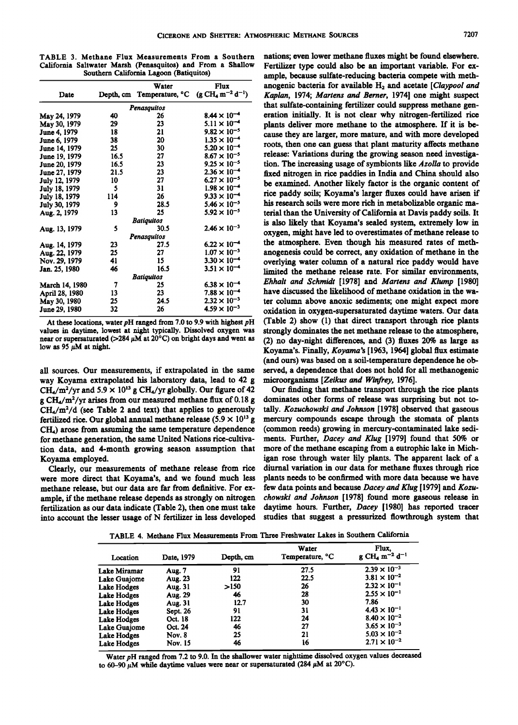**TABLE 3. Methane Flux Measurements From a Southern California Saltwater Marsh (Penasquitos) and From a Shallow Southern California Lagoon (Batiquitos)** 

|                      |      | Water                                                                                    | Flux                  |  |  |
|----------------------|------|------------------------------------------------------------------------------------------|-----------------------|--|--|
| Date                 |      | Depth, cm Temperature, $^{\circ}$ C (g CH <sub>4</sub> m <sup>-2</sup> d <sup>-1</sup> ) |                       |  |  |
|                      |      | Penasauitos                                                                              |                       |  |  |
| May 24, 1979         | 40   | 26                                                                                       | $8.44 \times 10^{-4}$ |  |  |
| May 30, 1979         | 29   | 23                                                                                       | $5.11 \times 10^{-4}$ |  |  |
| <b>June 4, 1979</b>  | 18   | 21                                                                                       | $9.82 \times 10^{-5}$ |  |  |
| June 6, 1979         | 38   | 20                                                                                       | $1.35 \times 10^{-4}$ |  |  |
| June 14, 1979        | 25   | 30                                                                                       | $5.20 \times 10^{-4}$ |  |  |
| June 19, 1979        | 16.5 | 27                                                                                       | $8.67 \times 10^{-5}$ |  |  |
| June 20, 1979        | 16.5 | 23                                                                                       | $9.25 \times 10^{-5}$ |  |  |
| <b>June 27, 1979</b> | 21.5 | 23                                                                                       | $2.36 \times 10^{-4}$ |  |  |
| July 12, 1979        | 10   | 27                                                                                       | $6.27 \times 10^{-5}$ |  |  |
| July 18, 1979        | 5    | 31                                                                                       | $1.98 \times 10^{-4}$ |  |  |
| July 18, 1979        | 114  | 26                                                                                       | $9.33 \times 10^{-4}$ |  |  |
| July 30, 1979        | 9    | 28.5                                                                                     | $5.46 \times 10^{-5}$ |  |  |
| Aug. 2, 1979         | 13   | 25                                                                                       | $5.92 \times 10^{-5}$ |  |  |
|                      |      | <b>Batiquitos</b>                                                                        |                       |  |  |
| Aug. 13, 1979        | 5    | 30.5                                                                                     | $2.46 \times 10^{-3}$ |  |  |
| Penasquitos          |      |                                                                                          |                       |  |  |
| Aug. 14, 1979        | 23   | 27.5                                                                                     | $6.22 \times 10^{-4}$ |  |  |
| Aug. 22, 1979        | 25   | 27                                                                                       | $1.07 \times 10^{-3}$ |  |  |
| Nov. 29, 1979        | 41   | 15                                                                                       | $3.30 \times 10^{-4}$ |  |  |
| Jan. 25, 1980        | 46   | 16.5                                                                                     | $3.51 \times 10^{-4}$ |  |  |
| <b>Batiquitos</b>    |      |                                                                                          |                       |  |  |
| March 14, 1980       | 7    | 25                                                                                       | $6.38 \times 10^{-4}$ |  |  |
| April 28, 1980       | 13   | 23                                                                                       | $7.88 \times 10^{-4}$ |  |  |
| May 30, 1980         | 25   | 24.5                                                                                     | $2.32 \times 10^{-3}$ |  |  |
| June 29, 1980        | 32   | 26                                                                                       | $4.59 \times 10^{-3}$ |  |  |

**At these locations, water pH ranged from 7.0 to 9.9 with highest pH values in daytime, lowest at night typically. Dissolved oxygen was**  near or supersaturated ( $>$ 284  $\mu$ M at 20<sup>o</sup>C) on bright days and went as low as  $95 \mu M$  at night.

**all sources. Our measurements, if extrapolated in the same**  way Koyama extrapolated his laboratory data, lead to 42 g microorganisms [*Zeikus and Winfrey*, 1976].<br>CH./m<sup>2</sup>/vr and 5.9 × 10<sup>13</sup> g CH./vr globally. Our figure of 42 Our finding that methane transport through the rice pl  $CH<sub>4</sub>/m<sup>2</sup>/yr$  and 5.9 × 10<sup>13</sup> g CH<sub>4</sub>/yr globally. Our figure of 42 Our finding that methane transport through the rice plants  $\epsilon$  CH<sub>4</sub>/m<sup>2</sup>/yr arises from our measured methane flux of 0.18 g dominates other form tion data, and 4-month growing season assumption that Koyama employed.

fertilization as our data indicate (Table 2), then one must take into account the lesser usage of N fertilizer in less developed

**nations; even lower methane fluxes might be found elsewhere. Fertilizer type could also be an important variable. For ex**ample, because sulfate-reducing bacteria compete with methanogenic bacteria for available H<sub>2</sub> and acetate [Claypool and **Kaplan, 1974; Martens and Berner, 1974] one might suspect**  that sulfate-containing fertilizer could suppress methane gen**eration initially. It is not clear why nitrogen-fertilized rice plants deliver more methane to the atmosphere. If it is because they are larger, more mature, and with more developed roots, then one can guess that plant maturity affects methane release: Variations during the growing season need investiga**tion. The increasing usage of symbionts like *Azolla* to provide **fixed nitrogen in rice paddies in India and China should also be examined. Another likely factor is the organic content of rice paddy soils; Koyama's larger fluxes could have arisen if his research soils were more rich in metabolizable organic material than the University of California at Davis paddy soils. It is also likely that Koyama's sealed system, extremely low in oxygen, might have led to overestimates of methane release to the atmosphere. Even though his measured rates of methanogenesis could be correct, any oxidation of methane in the overlying water column of a natural rice paddy would have limited the methane release rate. For similar environments, Ehhalt and Schmidt [1978] and Martens and Klump [1980] have discussed the likelihood of methane oxidation in the water column above anoxic sediments; one might expect more oxidation in oxygen-supersaturated daytime waters. Our data (Table 2) show (1) that direct transport through rice plants strongly dominates the net methane release to the atmosphere, (2) no day-night differences, and (3) fluxes 20% as large as Koyama's. Finally, Koyama's [1963, 1964] global flux estimate (and ours) was based on a soil-temperature dependence he observed, a dependence that does not hold for all methanogenic** 

**g CH<sub>4</sub>/m<sup>2</sup>/yr arises from our measured methane flux of 0.18 g dominates other forms of release was surprising but not to-<br>CH<sub>2</sub>/m<sup>2</sup>/d (see Table 2 and text) that applies to generously tally.** *Kozuchowski and Johnson* **[**  $CH<sub>4</sub>/m<sup>2</sup>/d$  (see Table 2 and text) that applies to generously tally. *Kozuchowski and Johnson* [1978] observed that gaseous *fertilized rice*. Our global annual methane release (5.9  $\times$  10<sup>13</sup> g mercury compounds fertilized rice. Our global annual methane release  $(5.9 \times 10^{13} \text{ g}$  mercury compounds escape through the stomata of plants CH<sub>a</sub>) arose from assuming the same temperature dependence (common reeds) growing in mercury-c CH<sub>4</sub>) arose from assuming the same temperature dependence (common reeds) growing in mercury-contaminated lake sedi-<br>for methane generation, the same United Nations rice-cultiva- ments. Further, *Dacey and Klug* [1979] fou **for methane generation, the same United Nations rice-cultiva- merits. Further, Dacey and Klug [1979] found that 50% or**  oyama employed.<br>Clearly, our measurements of methane release from rice diurnal variation in our data for methane fluxes through rice diurnal variation in our data for methane fluxes through rice plants needs to be confirmed with more data because we have were more direct that Koyama's, and we found much less plants needs to be confirmed with more data because we have<br>methane release, but our data are far from definitive. For ex- few data points and because *Dacey and Klug* methane release, but our data are far from definitive. For ex- few data points and because *Dacey and Klug* [1979] and *Kozu-*<br>ample, if the methane release depends as strongly on nitrogen *chowski and Johnson* [1978] foun ample, if the methane release depends as strongly on nitrogen *chowski and Johnson* [1978] found more gaseous release in <br>fertilization as our data indicate (Table 2), then one must take daytime hours. Further, *Dacey* [19 studies that suggest a pressurized flowthrough system that

**TABLE 4. Methane Flux Measurements From Three Freshwater Lakes in Southern California** 

| Location           | Date, 1979     | Depth, cm | Water<br>Temperature, <sup>o</sup> C | Flux.<br>$g$ CH <sub>4</sub> m <sup>-2</sup> d <sup>-1</sup> |
|--------------------|----------------|-----------|--------------------------------------|--------------------------------------------------------------|
| Lake Miramar       | Aug. 7         | 91        | 27.5                                 | $2.39 \times 10^{-3}$                                        |
| Lake Guajome       | Aug. 23        | 122       | 22.5                                 | $3.81 \times 10^{-2}$                                        |
| Lake Hodges        | Aug. 31        | >150      | 26                                   | $2.32 \times 10^{-1}$                                        |
| Lake Hodges        | Aug. 29        | 46        | 28                                   | $2.55 \times 10^{-1}$                                        |
| Lake Hodges        | Aug. 31        | 12.7      | 30                                   | 7.86                                                         |
| Lake Hodges        | Sept. 26       | 91        | 31                                   | $4.43 \times 10^{-1}$                                        |
| <b>Lake Hodges</b> | Oct. 18        | 122       | 24                                   | $8.40 \times 10^{-2}$                                        |
| Lake Guaiome       | Oct. 24        | 46        | 27                                   | $3.65 \times 10^{-3}$                                        |
| Lake Hodges        | <b>Nov. 8</b>  | 25        | 21                                   | $5.03 \times 10^{-2}$                                        |
| Lake Hodges        | <b>Nov. 15</b> | 46        | 16                                   | $2.71 \times 10^{-2}$                                        |

**Water pH ranged from 7.2 to 9.0. In the shallower water nighttime dissolved oxygen values decreased**  to 60-90  $\mu$ M while daytime values were near or supersaturated (284  $\mu$ M at 20<sup>o</sup>C).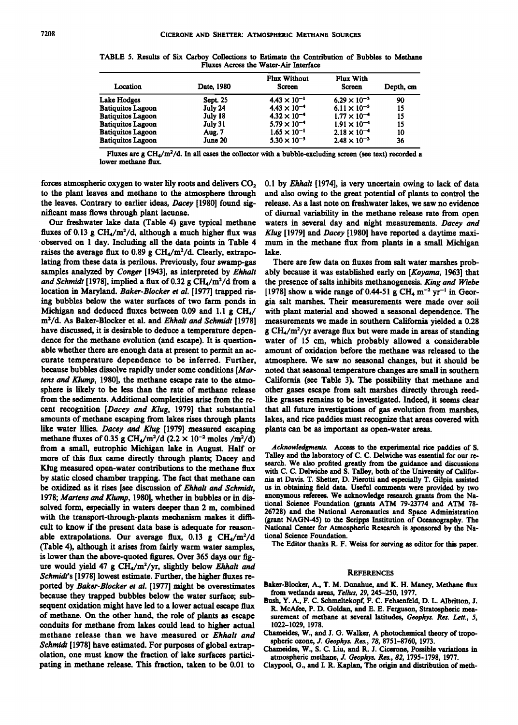| Location                 | Date, 1980      | <b>Flux Without</b><br><b>Screen</b> | <b>Flux With</b><br><b>Screen</b> | Depth, cm |
|--------------------------|-----------------|--------------------------------------|-----------------------------------|-----------|
| Lake Hodges              | <b>Sept. 25</b> | $4.43 \times 10^{-1}$                | $6.29 \times 10^{-3}$             | 90        |
| <b>Batiquitos Lagoon</b> | July 24         | $4.43 \times 10^{-4}$                | $6.11 \times 10^{-5}$             | 15        |
| <b>Batiquitos Lagoon</b> | July 18         | $4.32 \times 10^{-4}$                | $1.77 \times 10^{-4}$             | 15        |
| <b>Batiquitos Lagoon</b> | July 31         | $5.79 \times 10^{-4}$                | $1.91 \times 10^{-4}$             | 15        |
| <b>Batiquitos Lagoon</b> | <b>Aug. 7</b>   | $1.65 \times 10^{-1}$                | $2.18 \times 10^{-4}$             | 10        |
| <b>Batiquitos Lagoon</b> | June 20         | $5.30 \times 10^{-3}$                | $2.48 \times 10^{-3}$             | 36        |

**TABLE 5. Results of Six Carboy Collections to Estimate the Contribution of Bubbles to Methane Fluxes Across the Water-Air Interface** 

Fluxes are  $g CH_4/m^2/d$ . In all cases the collector with a bubble-excluding screen (see text) recorded a **lower methane flux.** 

forces atmospheric oxygen to water lily roots and delivers CO<sub>2</sub> 0.1 by *Ehhalt* [1974], is very uncertain owing to lack of data to the plant leaves and methane to the atmosphere through and also owing to the great potenti

Our freshwater lake data (Table 4) gave typical methane waters in several day and night measurements. *Dacey and* fluxes of 0.13 g CH<sub>4</sub>/m<sup>2</sup>/d, although a much higher flux was *Klug* [1979] and *Dacey* [1980] have reporte **observed on I day. Including all the data points in Table 4**  raises the average flux to 0.89 g CH<sub>4</sub>/m<sup>2</sup>/d. Clearly, extrapo**lating from these data is perilous. Previously, four swamp-gas samples analyzed by Conger [1943], as interpreted by Ehhalt**  and Schmidt [1978], implied a flux of 0.32 g CH<sub>4</sub>/m<sup>2</sup>/d from a **location in Maryland. Baker-Blocker et al. [1977] trapped rising bubbles below the water surfaces of two farm ponds in Michigan and deduced fluxes between 0.09 and 1.1 g CH4/ m**<sup>2</sup>/d. As Baker-Blocker et al. and *Ehhalt and Schmidt* [1978] have discussed, it is desirable to deduce a temperature depen**dence for the methane evolution (and escape). It is question**able whether there are enough data at present to permit an ac**curate temperature dependence to be inferred. Further, because bubbles dissolve rapidly under some conditions [Martens and Klump, 1980], the methane escape rate to the atmosphere is likely to be less than the rate of methane release from the sediments. Additional complexities arise from the recent recognition [Dacey and Klug, 1979] that substantial amounts of methane escaping from lakes rises through plants like water lilies. Dacey and Klug [1979] measured escaping**  methane fluxes of 0.35 g CH<sub>4</sub>/m<sup>2</sup>/d (2.2 × 10<sup>-2</sup> moles /m<sup>2</sup>/d) **from a small, eutrophic Michigan lake in August. Half or more of this flux came directly through plants; Dacey and Klug measured open-water contributions to the methane flux by static closed chamber trapping. The fact that methane can be oxidized as it rises [see discussion of Ehhalt and Schmidt, 1978; Martens and Klump, 1980], whether in bubbles or in dissolved form, especially in waters deeper than 2 m, combined with the transport-through-plants mechanism makes it difficult to know if the present data base is adequate for reason**able extrapolations. Our average flux, 0.13 g CH<sub>4</sub>/m<sup>2</sup>/d **(Table 4), although it arises from fairly warm water samples, is lower than the above-quoted figures. Over 365 days our fig**ure would yield 47 g CH<sub>4</sub>/m<sup>2</sup>/yr, slightly below Ehhalt and Schmidt's [1978] lowest estimate. Further, the higher fluxes re**ported by Baker-Blocker et al. [1977] might be overestimates because they trapped bubbles below the water surface; subsequent oxidation might have led to a lower actual escape flux of methane. On the other hand, the role of plants as escape conduits for methane from lakes could lead to higher actual**  methane release than we have measured or *Ehhalt and* Chameides, w., and J. G. Walker, A photochemical theory of the superiories of clopel acternal spheric ozone, *J. Geophys. Res.*, 78, 8751-8760, 1973. Schmidt [1978] have estimated. For purposes of global extrap-<br>
olation, one must know the fraction of lake surfaces partici-<br>
atmospheric methane. J. Geophys. Res., 82, 1795-1798, 1977. olation, one must know the fraction of lake surfaces partici-<br>pating in methane release. This fraction, taken to be 0.01 to Claypool, G., and I. R. Kaplan, The origin and distribution of

to the plant leaves and methane to the atmosphere through and also owing to the great potential of plants to control the leaves. Contrary to earlier ideas, *Dacey* [1980] found sig-<br>release. As a last note on freshwater la **the leaves. Contrary to earlier ideas, Dacey [1980] found sig- release. As a last note on freshwater lakes, we saw no evidence**  ficant mass flows through plant lacunae. **of diurnal variability in the methane release rate from open** Our freshwater lake data (Table 4) gave typical methane waters in several day and night measurements. *Dacey and* Klug [1979] and *Dacey* [1980] have reported a daytime maxi**mum in the methane flux from plants in a small Michigan lake.** 

> **There are few data on fluxes from salt water marshes probably because it was established early on [Koyama, 1963] that the presence of salts inhibits methanogenesis. King and Wiebe**  [1978] show a wide range of 0.44-51 g CH<sub>4</sub> m<sup>-2</sup> yr<sup>-1</sup> in Geor**gia salt marshes. Their measurements were made over soil with plant material and showed a seasonal dependence. The measurements we made in southern California yielded a 0.28 g** CH<sub>4</sub>/m<sup>2</sup>/yr average flux but were made in areas of standing **water of 15 cm, which probably allowed a considerable amount of oxidation before the methane was released to the atmosphere. We saw no seasonal changes, but it should be noted that seasonal temperature changes are small in southern California (see Table 3). The possibility that methane and other gases escape from salt marshes directly through reedlike grasses remains to be investigated. Indeed, it seems clear that all future investigations of gas evolution from marshes, lakes, and rice paddies must recognize that areas covered with plants can be as important as open-water areas.**

> **Acknowledgments. Access to the experimental rice paddies of S. Talley and the laboratory of C. C. Delwiche was essential for our research. We also profited greatly from the guidance and discussions with C. C. Delwiche and S. Talley, both of the University of California at Davis. T. Shetter, D. Pierotti and especially T. Gilpin assisted us in obtaining field data. Useful comments were provided by two anonymous referees. We acknowledge research grants from the National Science Foundation (grants ATM 79-23774 and ATM 78- 26728) and the National Aeronautics and Space Administration (grant NAGN-45) to the Scripps Institution of Oceanography. The National Center for Atmospheric Research is sponsored by the National Science Foundation.**

**The Editor thanks R. F. Weiss for serving as editor for this paper.** 

#### **REFERENCES**

- **Baker-Blocker, A., T. M. Donahue, and K. H. Mancy, Methane flux from wetlands areas, Tellus, 29, 245-250, 1977.**
- **Bush, Y. A., F. C. Schmeltekopf, F. C. Fehsenfeld, D. L. Albritton, J. R. McAfee, P. D. Goldan, and E. E. Ferguson, Stratospheric mea**surement of methane at several latitudes, Geophys. Res. Lett., 5,
- **1022-1029, 1978.**
- 
- Claypool, G., and I. R. Kaplan, The origin and distribution of meth-